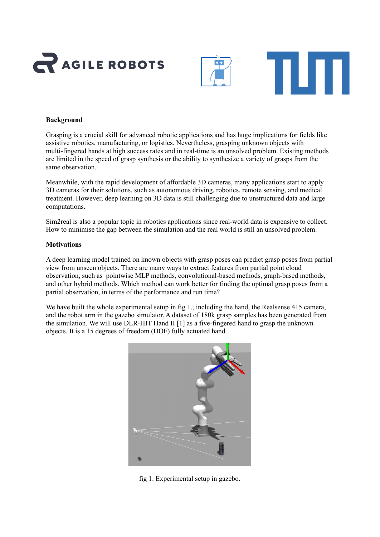





# **Background**

Grasping is a crucial skill for advanced robotic applications and has huge implications for fields like assistive robotics, manufacturing, or logistics. Nevertheless, grasping unknown objects with multi-fingered hands at high success rates and in real-time is an unsolved problem. Existing methods are limited in the speed of grasp synthesis or the ability to synthesize a variety of grasps from the same observation.

Meanwhile, with the rapid development of affordable 3D cameras, many applications start to apply 3D cameras for their solutions, such as autonomous driving, robotics, remote sensing, and medical treatment. However, deep learning on 3D data is still challenging due to unstructured data and large computations.

Sim2real is also a popular topic in robotics applications since real-world data is expensive to collect. How to minimise the gap between the simulation and the real world is still an unsolved problem.

## **Motivations**

A deep learning model trained on known objects with grasp poses can predict grasp poses from partial view from unseen objects. There are many ways to extract features from partial point cloud observation, such as pointwise MLP methods, convolutional-based methods, graph-based methods, and other hybrid methods. Which method can work better for finding the optimal grasp poses from a partial observation, in terms of the performance and run time?

We have built the whole experimental setup in fig 1., including the hand, the Realsense 415 camera, and the robot arm in the gazebo simulator. A dataset of 180k grasp samples has been generated from the simulation. We will use DLR-HIT Hand II [1] as a five-fingered hand to grasp the unknown objects. It is a 15 degrees of freedom (DOF) fully actuated hand.



fig 1. Experimental setup in gazebo.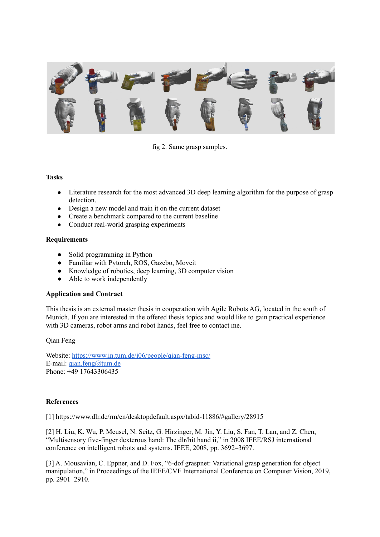

fig 2. Same grasp samples.

### **Tasks**

- Literature research for the most advanced 3D deep learning algorithm for the purpose of grasp detection.
- Design a new model and train it on the current dataset
- Create a benchmark compared to the current baseline
- Conduct real-world grasping experiments

## **Requirements**

- Solid programming in Python
- Familiar with Pytorch, ROS, Gazebo, Moveit
- Knowledge of robotics, deep learning, 3D computer vision
- Able to work independently

## **Application and Contract**

This thesis is an external master thesis in cooperation with Agile Robots AG, located in the south of Munich. If you are interested in the offered thesis topics and would like to gain practical experience with 3D cameras, robot arms and robot hands, feel free to contact me.

Qian Feng

Website: <https://www.in.tum.de/i06/people/qian-feng-msc/> E-mail: [qian.feng@tum.de](mailto:qian.feng@tum.de) Phone: +49 17643306435

## **References**

[1] https://www.dlr.de/rm/en/desktopdefault.aspx/tabid-11886/#gallery/28915

[2] H. Liu, K. Wu, P. Meusel, N. Seitz, G. Hirzinger, M. Jin, Y. Liu, S. Fan, T. Lan, and Z. Chen, "Multisensory five-finger dexterous hand: The dlr/hit hand ii," in 2008 IEEE/RSJ international conference on intelligent robots and systems. IEEE, 2008, pp. 3692–3697.

[3] A. Mousavian, C. Eppner, and D. Fox, "6-dof graspnet: Variational grasp generation for object manipulation," in Proceedings of the IEEE/CVF International Conference on Computer Vision, 2019, pp. 2901–2910.